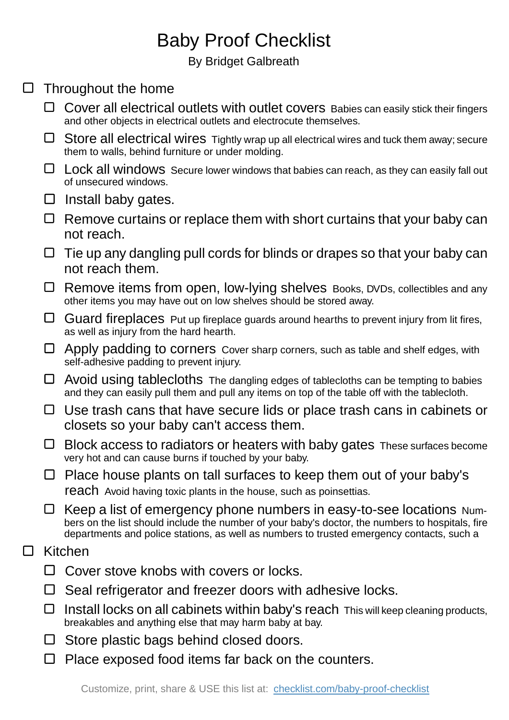## Baby Proof Checklist

By Bridget Galbreath

## $\square$  Throughout the home

- Cover all electrical outlets with outlet covers Babies can easily stick their fingers and other objects in electrical outlets and electrocute themselves.
- $\Box$  Store all electrical wires Tightly wrap up all electrical wires and tuck them away; secure them to walls, behind furniture or under molding.
- $\Box$  Lock all windows Secure lower windows that babies can reach, as they can easily fall out of unsecured windows.
- $\Box$  Install baby gates.
- $\Box$  Remove curtains or replace them with short curtains that your baby can not reach.
- $\Box$  Tie up any dangling pull cords for blinds or drapes so that your baby can not reach them.
- Remove items from open, low-lying shelves Books, DVDs, collectibles and any other items you may have out on low shelves should be stored away.
- $\Box$  Guard fireplaces Put up fireplace guards around hearths to prevent injury from lit fires, as well as injury from the hard hearth.
- $\Box$  Apply padding to corners Cover sharp corners, such as table and shelf edges, with self-adhesive padding to prevent injury.
- $\Box$  Avoid using tablecloths The dangling edges of tablecloths can be tempting to babies and they can easily pull them and pull any items on top of the table off with the tablecloth.
- □ Use trash cans that have secure lids or place trash cans in cabinets or closets so your baby can't access them.
- $\Box$  Block access to radiators or heaters with baby gates These surfaces become very hot and can cause burns if touched by your baby.
- $\Box$  Place house plants on tall surfaces to keep them out of your baby's reach Avoid having toxic plants in the house, such as poinsettias.
- $\Box$  Keep a list of emergency phone numbers in easy-to-see locations Numbers on the list should include the number of your baby's doctor, the numbers to hospitals, fire departments and police stations, as well as numbers to trusted emergency contacts, such a

## $\Box$ Kitchen

- $\Box$  Cover stove knobs with covers or locks.
- $\Box$  Seal refrigerator and freezer doors with adhesive locks.
- $\Box$  Install locks on all cabinets within baby's reach This will keep cleaning products, breakables and anything else that may harm baby at bay.
- $\Box$  Store plastic bags behind closed doors.
- $\Box$  Place exposed food items far back on the counters.